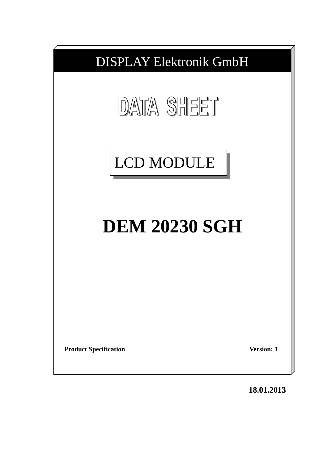

**18.01.2013**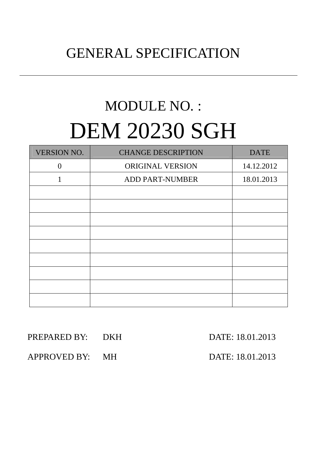# GENERAL SPECIFICATION

# MODULE NO. : DEM 20230 SGH

| <b>VERSION NO.</b> | <b>CHANGE DESCRIPTION</b> | <b>DATE</b> |
|--------------------|---------------------------|-------------|
| $\theta$           | ORIGINAL VERSION          | 14.12.2012  |
| 1                  | <b>ADD PART-NUMBER</b>    | 18.01.2013  |
|                    |                           |             |
|                    |                           |             |
|                    |                           |             |
|                    |                           |             |
|                    |                           |             |
|                    |                           |             |
|                    |                           |             |
|                    |                           |             |
|                    |                           |             |

#### PREPARED BY: DKH DATE: 18.01.2013

APPROVED BY: MH DATE: 18.01.2013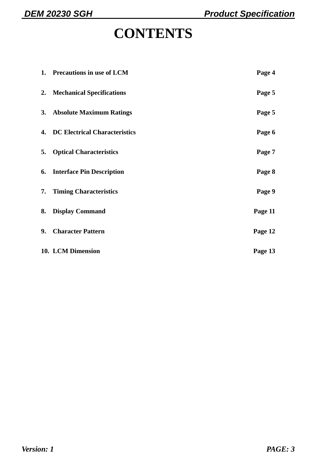## **CONTENTS**

|    | 1. Precautions in use of LCM            | Page 4  |
|----|-----------------------------------------|---------|
|    | 2. Mechanical Specifications            | Page 5  |
|    | 3. Absolute Maximum Ratings             | Page 5  |
|    | <b>4. DC Electrical Characteristics</b> | Page 6  |
| 5. | <b>Optical Characteristics</b>          | Page 7  |
|    | <b>6.</b> Interface Pin Description     | Page 8  |
|    | 7. Timing Characteristics               | Page 9  |
| 8. | <b>Display Command</b>                  | Page 11 |
| 9. | <b>Character Pattern</b>                | Page 12 |
|    | 10. LCM Dimension                       | Page 13 |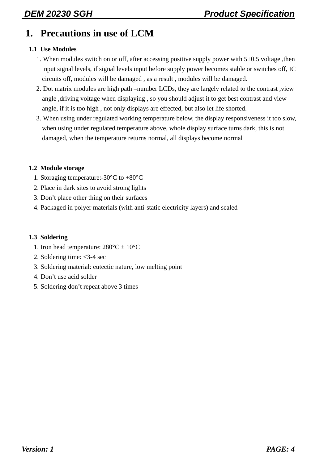#### **1. Precautions in use of LCM**

#### **1.1 Use Modules**

- 1. When modules switch on or off, after accessing positive supply power with  $5\pm0.5$  voltage, then input signal levels, if signal levels input before supply power becomes stable or switches off, IC circuits off, modules will be damaged , as a result , modules will be damaged.
- 2. Dot matrix modules are high path –number LCDs, they are largely related to the contrast ,view angle ,driving voltage when displaying , so you should adjust it to get best contrast and view angle, if it is too high , not only displays are effected, but also let life shorted.
- 3. When using under regulated working temperature below, the display responsiveness it too slow, when using under regulated temperature above, whole display surface turns dark, this is not damaged, when the temperature returns normal, all displays become normal

#### **1.2 Module storage**

- 1. Storaging temperature:-30°C to +80°C
- 2. Place in dark sites to avoid strong lights
- 3. Don't place other thing on their surfaces
- 4. Packaged in polyer materials (with anti-static electricity layers) and sealed

#### **1.3 Soldering**

- 1. Iron head temperature:  $280^{\circ}$ C  $\pm 10^{\circ}$ C
- 2. Soldering time: <3-4 sec
- 3. Soldering material: eutectic nature, low melting point
- 4. Don't use acid solder
- 5. Soldering don't repeat above 3 times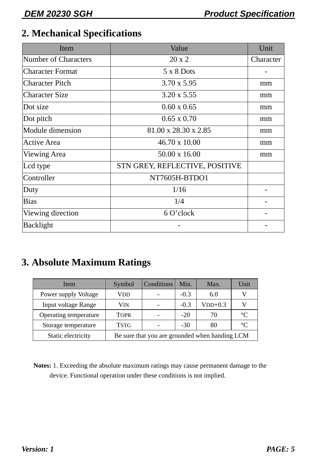#### **2. Mechanical Specifications**

| Item                        | Value                          | Unit      |
|-----------------------------|--------------------------------|-----------|
| <b>Number of Characters</b> | $20 \times 2$                  | Character |
| <b>Character Format</b>     | $5 \times 8$ Dots              |           |
| <b>Character Pitch</b>      | $3.70 \times 5.95$             | mm        |
| <b>Character Size</b>       | $3.20 \times 5.55$             | mm        |
| Dot size                    | $0.60 \times 0.65$             | mm        |
| Dot pitch                   | $0.65 \times 0.70$             | mm        |
| Module dimension            | 81.00 x 28.30 x 2.85           | mm        |
| <b>Active Area</b>          | 46.70 x 10.00                  | mm        |
| <b>Viewing Area</b>         | $50.00 \times 16.00$           | mm        |
| Lcd type                    | STN GREY, REFLECTIVE, POSITIVE |           |
| Controller                  | NT7605H-BTDO1                  |           |
| Duty                        | 1/16                           |           |
| <b>Bias</b>                 | 1/4                            |           |
| Viewing direction           | 6 O'clock                      |           |
| Backlight                   |                                |           |

#### **3. Absolute Maximum Ratings**

| Item                       | Symbol      | Conditions | Min.   | Max.                                           | Unit        |
|----------------------------|-------------|------------|--------|------------------------------------------------|-------------|
| Power supply Voltage       | VDD         |            | $-0.3$ | 6.0                                            |             |
| <b>Input voltage Range</b> | VIN         |            | $-0.3$ | $VDD+0.3$                                      |             |
| Operating temperature      | <b>TOPR</b> |            | $-20$  | 70                                             | $^{\circ}C$ |
| Storage temperature        | <b>TSTG</b> |            | $-30$  | 80                                             | $^{\circ}C$ |
| Static electricity         |             |            |        | Be sure that you are grounded when handing LCM |             |

**Notes:** 1. Exceeding the absolute maximum ratings may cause permanent damage to the device. Functional operation under these conditions is not implied.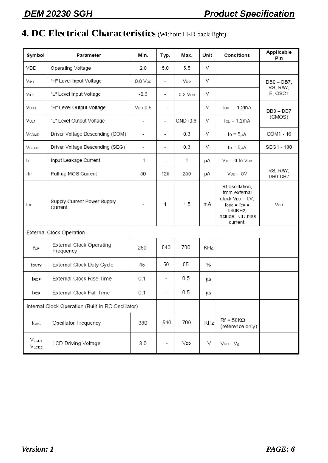### **4. DC Electrical Characteristics** (Without LED back-light)

| Symbol                          | Parameter                                         | Min.                     | Typ.                     | Max.                     | Unit          | Conditions                                                                                                                    | Applicable<br>Pin         |
|---------------------------------|---------------------------------------------------|--------------------------|--------------------------|--------------------------|---------------|-------------------------------------------------------------------------------------------------------------------------------|---------------------------|
| VDD                             | Operating Voltage                                 | 2.8                      | 5.0                      | 5.5                      | V             |                                                                                                                               |                           |
| V <sub>H1</sub>                 | "H" Level Input Voltage                           | $0.8$ $VDD$              | $\overline{\phantom{a}}$ | VDD                      | V             |                                                                                                                               | $DB0 - DB7$ ,<br>RS, R/W, |
| VL1                             | "L" Level Input Voltage                           | $-0.3$                   | $\overline{\phantom{a}}$ | $0.2$ $V$ <sub>DD</sub>  | V             |                                                                                                                               | E, OSC1                   |
| VOH1                            | "H" Level Output Voltage                          | $VDD-0.6$                | $\overline{\phantom{a}}$ | $\overline{\phantom{a}}$ | V             | $I$ <sub>OH</sub> = $-1.2mA$                                                                                                  | $DB0 - DB7$               |
| Vol1                            | "L" Level Output Voltage                          | $\overline{\phantom{a}}$ | $\overline{\phantom{a}}$ | GND+0.6                  | V             | $IOL = 1.2mA$                                                                                                                 | (CMOS)                    |
| VCOMD                           | Driver Voltage Descending (COM)                   | $\overline{\phantom{a}}$ | $\overline{\phantom{a}}$ | 0.3                      | V             | $I_D = 5\mu A$                                                                                                                | COM1 - 16                 |
| VSEGD                           | Driver Voltage Descending (SEG)                   | $\overline{\phantom{a}}$ | $\overline{\phantom{a}}$ | 0.3                      | V             | $I_D = 5\mu A$                                                                                                                | SEG1 - 100                |
| Iμ                              | Input Leakage Current                             | -1                       | $\overline{\phantom{a}}$ | 1                        | μA            | $V_{IN} = 0$ to $V_{DD}$                                                                                                      |                           |
| $-$  P                          | Pull-up MOS Current                               | 50                       | 125                      | 250                      | μA            | $V_{DD} = 5V$                                                                                                                 | RS, R/W,<br>DB0-DB7       |
| lop                             | Supply Current Power Supply<br>Current            |                          | 1                        | 1.5                      | mA            | Rf oscillation,<br>from external<br>$clock V_{DD} = 5V$ ,<br>$f$ osc = $f$ c $P =$<br>540KHz,<br>include LCD bias<br>current. | VDD                       |
|                                 | External Clock Operation                          |                          |                          |                          |               |                                                                                                                               |                           |
| fcp                             | External Clock Operating<br>Frequency             | 250                      | 540                      | 700                      | KHz           |                                                                                                                               |                           |
| touty                           | External Clock Duty Cycle                         | 45                       | 50                       | 55                       | $\frac{0}{0}$ |                                                                                                                               |                           |
| trcp                            | External Clock Rise Time                          | 0.1                      | $\overline{\phantom{a}}$ | 0.5                      | μs            |                                                                                                                               |                           |
| trcp                            | External Clock Fall Time                          | 0.1                      | $\overline{\phantom{a}}$ | 0.5                      | μs            |                                                                                                                               |                           |
|                                 | Internal Clock Operation (Built-in RC Oscillator) |                          |                          |                          |               |                                                                                                                               |                           |
| fosc                            | Oscillator Frequency                              | 380                      | 540                      | 700                      | KHz           | $Rf = 50K\Omega$<br>(reference only)                                                                                          |                           |
| V <sub>LOD1</sub><br>$V_{LCD2}$ | <b>LCD Driving Voltage</b>                        | 3.0                      |                          | VDD                      | V             | $VDD - V_5$                                                                                                                   |                           |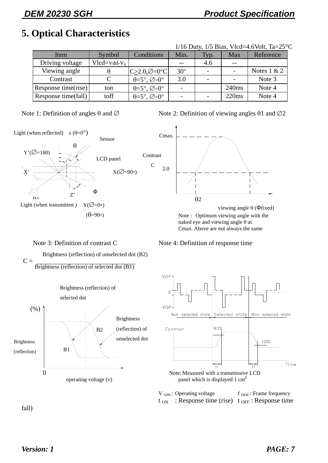#### **5. Optical Characteristics**

| $1/16$ Duty, $1/5$ Bias, Vlcd=4.6Volt, Ta= $25^{\circ}$ C |                |                                              |            |                          |                   |               |  |  |  |
|-----------------------------------------------------------|----------------|----------------------------------------------|------------|--------------------------|-------------------|---------------|--|--|--|
| Item                                                      | Symbol         | Conditions                                   | Min.       | Typ.                     | <b>Max</b>        | Reference     |  |  |  |
| Driving voltage                                           | $Vlcd=Vdd-V_0$ |                                              | $-$        | 4.6                      | $ -$              |               |  |  |  |
| Viewing angle                                             | θ              | $C > 2.0, \emptyset = 0$ °C                  | $30^\circ$ | $\overline{\phantom{a}}$ |                   | Notes $1 & 2$ |  |  |  |
| Contrast                                                  |                | $\theta = 5^\circ$ , $\varnothing = 0^\circ$ | 3.0        |                          |                   | Note 3        |  |  |  |
| Response time(rise)                                       | ton            | $\theta = 5^\circ$ , $\varnothing = 0^\circ$ |            |                          | 240 <sub>ms</sub> | Note 4        |  |  |  |
| Response time(fall)                                       | toff           | $\theta = 5^\circ$ , $\varnothing = 0^\circ$ |            |                          | 220ms             | Note 4        |  |  |  |



Note 1: Definition of angles θ and  $\varnothing$  Note 2: Definition of viewing angles θ1 and  $\varnothing$ 2



#### Note 3: Definition of contrast C Note 4: Definition of response time

 Brightness (reflection) of unselected dot (B2)  $C =$ 

Brightness (reflection) of selected dot (B1)





 $V_{OPR}$ : Operating voltage f<sub>FRM</sub>: Frame frequency  $t_{ON}$ : Response time (rise)  $t_{OFF}$ : Response time

fall)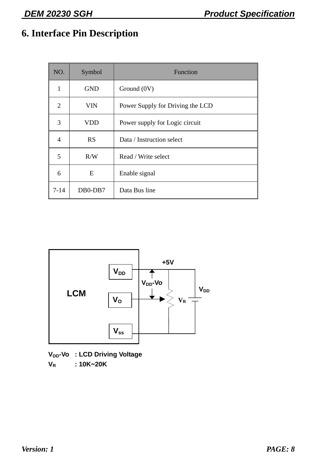### **6. Interface Pin Description**

| NO.      | Symbol     | Function                         |
|----------|------------|----------------------------------|
| 1        | <b>GND</b> | Ground (0V)                      |
| 2        | VIN        | Power Supply for Driving the LCD |
| 3        | VDD        | Power supply for Logic circuit   |
| 4        | <b>RS</b>  | Data / Instruction select        |
| 5        | R/W        | Read / Write select              |
| 6        | E          | Enable signal                    |
| $7 - 14$ | DB0-DB7    | Data Bus line                    |



**V<sub>DD</sub>-Vo : LCD Driving Voltage** 

**VR : 10K**~**20K**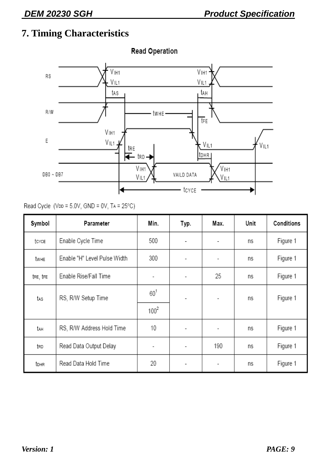### **7. Timing Characteristics**



**Read Operation** 

Read Cycle (VDD =  $5.0V$ , GND =  $0V$ , TA =  $25^{\circ}$ C)

| Symbol   | Parameter                    | Min.      | Typ.                     | Max.                     | Unit | Conditions |
|----------|------------------------------|-----------|--------------------------|--------------------------|------|------------|
| tcyce    | Enable Cycle Time            | 500       | $\overline{\phantom{a}}$ | $\overline{\phantom{a}}$ | ns   | Figure 1   |
| twhe     | Enable "H" Level Pulse Width | 300       | $\overline{\phantom{a}}$ | $\overline{\phantom{a}}$ | ns   | Figure 1   |
| tre, tre | Enable Rise/Fall Time        | -         | $\overline{\phantom{a}}$ | 25                       | ns   | Figure 1   |
| tas      | RS, R/W Setup Time           | $60^1$    | $\overline{\phantom{a}}$ | $\overline{\phantom{a}}$ | ns   | Figure 1   |
|          |                              | $100^{2}$ |                          |                          |      |            |
| tah      | RS, R/W Address Hold Time    | 10        | $\overline{\phantom{a}}$ | $\overline{\phantom{a}}$ | ns   | Figure 1   |
| trd      | Read Data Output Delay       |           | $\overline{\phantom{a}}$ | 190                      | ns   | Figure 1   |
| tohr     | Read Data Hold Time          | 20        | $\overline{\phantom{a}}$ | $\overline{\phantom{a}}$ | ns   | Figure 1   |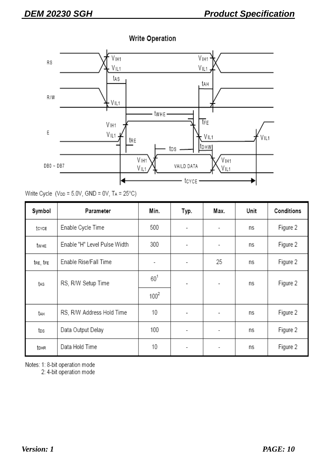**Write Operation** 



#### Write Cycle (VDD =  $5.0V$ , GND =  $0V$ , TA =  $25^{\circ}$ C)

| Symbol   | Parameter                    | Min.           | Typ.                     | Max.                     | Unit | Conditions |
|----------|------------------------------|----------------|--------------------------|--------------------------|------|------------|
| tcyce    | Enable Cycle Time            | 500            | $\overline{\phantom{0}}$ | -                        | ns   | Figure 2   |
| twhe     | Enable "H" Level Pulse Width | 300            | $\overline{\phantom{a}}$ | -                        | ns   | Figure 2   |
| tre, tre | Enable Rise/Fall Time        | $\blacksquare$ | $\overline{\phantom{a}}$ | 25                       | ns   | Figure 2   |
| tas      | RS, R/W Setup Time           | $60^1$         | $\overline{\phantom{a}}$ | $\overline{\phantom{a}}$ | ns   | Figure 2   |
|          |                              | $100^{2}$      |                          |                          |      |            |
| tah      | RS, R/W Address Hold Time    | 10             | $\overline{a}$           | -                        | ns   | Figure 2   |
| tos      | Data Output Delay            | 100            | $\overline{\phantom{0}}$ |                          | ns   | Figure 2   |
| tdhr     | Data Hold Time               | 10             | $\overline{\phantom{a}}$ | $\overline{\phantom{a}}$ | ns   | Figure 2   |

Notes: 1: 8-bit operation mode

2: 4-bit operation mode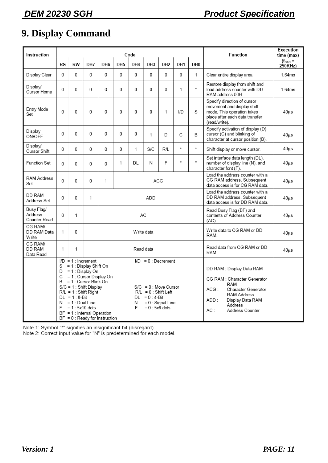### **9. Display Command**

| Instruction                           |           |                                                          |                                                                                                                                                                                              |                                                                 |                 | Code   |                                                                                                                 |                     |               |                    | Function                                                                                                                                                                         | Execution<br>time (max) |
|---------------------------------------|-----------|----------------------------------------------------------|----------------------------------------------------------------------------------------------------------------------------------------------------------------------------------------------|-----------------------------------------------------------------|-----------------|--------|-----------------------------------------------------------------------------------------------------------------|---------------------|---------------|--------------------|----------------------------------------------------------------------------------------------------------------------------------------------------------------------------------|-------------------------|
|                                       | <b>RS</b> | <b>RW</b>                                                | DB7                                                                                                                                                                                          | DB <sub>6</sub>                                                 | DB <sub>5</sub> | DB4    | DB <sub>3</sub>                                                                                                 | DB <sub>2</sub>     | DB1           | DB <sub>0</sub>    |                                                                                                                                                                                  | $(fosc =$<br>250KHz)    |
| Display Clear                         | 0         | 0                                                        | 0                                                                                                                                                                                            | 0                                                               | 0               | 0      | 0                                                                                                               | 0                   | 0             | 1                  | Clear entire display area.                                                                                                                                                       | 1.64ms                  |
| Display/<br>Cursor Home               | 0         | 0                                                        | 0                                                                                                                                                                                            | 0                                                               | 0               | 0      | 0                                                                                                               | 0                   | 1             | $\hat{\mathbf{x}}$ | Restore display from shift and<br>load address counter with DD<br>RAM address 00H.                                                                                               | 1.64ms                  |
| Entry Mode<br>Set                     | 0         | 0                                                        | 0                                                                                                                                                                                            | 0                                                               | 0               | 0      | 0                                                                                                               | 1                   | I/D           | S                  | Specify direction of cursor<br>movement and display shift<br>mode. This operation takes<br>place after each data transfer<br>(read/write).                                       | 40us                    |
| Display<br>ON/OFF                     | 0         | 0                                                        | 0                                                                                                                                                                                            | 0                                                               | 0               | 0      | 1                                                                                                               | D                   | C             | B                  | Specify activation of display (D)<br>cursor (C) and blinking of<br>character at cursor position (B).                                                                             | $40u$ s                 |
| Display/<br>Cursor Shift              | 0         | 0                                                        | 0                                                                                                                                                                                            | 0                                                               | 0               | 1      | S/C                                                                                                             | R/L                 | $\star$       | $\hat{\mathbf{x}}$ | Shift display or move cursor.                                                                                                                                                    | $40u$ s                 |
| <b>Function Set</b>                   | 0         | 0                                                        | 0                                                                                                                                                                                            | 0                                                               | 1               | DL     | N                                                                                                               | F                   | $\pmb{\star}$ | $\hat{\mathbf{x}}$ | Set interface data length (DL),<br>number of display line (N), and<br>character font (F).                                                                                        | 40us                    |
| <b>RAM Address</b><br>Set             | 0         | 0                                                        | 0                                                                                                                                                                                            | 1                                                               |                 |        |                                                                                                                 | ACG                 |               |                    | Load the address counter with a<br>CG RAM address. Subsequent<br>data access is for CG RAM data.                                                                                 | 40 <sub>u</sub> s       |
| DD RAM<br>Address Set                 | 0         | 0                                                        | 1                                                                                                                                                                                            |                                                                 |                 |        | ADD                                                                                                             |                     |               |                    | Load the address counter with a<br>DD RAM address. Subsequent<br>data access is for DD RAM data.                                                                                 | 40us                    |
| Busy Flag/<br>Address<br>Counter Read | 0         | 1                                                        |                                                                                                                                                                                              |                                                                 |                 |        | АC                                                                                                              |                     |               |                    | Read Busy Flag (BF) and<br>contents of Address Counter<br>$(AC)$ .                                                                                                               | $40u$ s                 |
| CG RAM/<br>DD RAM Data<br>Write       | 1         | 0                                                        |                                                                                                                                                                                              |                                                                 |                 |        | Write data                                                                                                      |                     |               |                    | Write data to CG RAM or DD<br>RAM.                                                                                                                                               | 40us                    |
| CG RAM/<br>DD RAM<br>Data Read        | 1         | 1                                                        |                                                                                                                                                                                              |                                                                 |                 |        | Read data                                                                                                       |                     |               |                    | Read data from CG RAM or DD<br>RAM.                                                                                                                                              | $40u$ s                 |
|                                       | S.<br>F   | $DL = 1:8-Bit$<br>$N = 1$ : Dual Line<br>$= 1:5x10$ dots | $ID = 1$ : Increment<br>= 1 : Display Shift On<br>$D = 1$ : Display On<br>$B = 1$ : Cursor Blink On<br>$S/C = 1$ : Shift Display<br>$R/L = 1$ : Shift Right<br>$BF = 1$ : Internal Operation | $C = 1$ : Cursor Display On<br>$BF = 0$ : Ready for Instruction |                 | N<br>F | $ID = 0$ : Decrement<br>$S/C = 0$ : Move Cursor<br>$R/L = 0$ : Shift Left<br>$DL = 0:4-Bit$<br>$= 0$ : 5x8 dots | $= 0$ : Signal Line |               |                    | DD RAM : Display Data RAM<br>CG RAM : Character Generator<br>RAM<br>ACG:<br>Character Generator<br>RAM Address<br>ADD :<br>Display Data RAM<br>Address<br>AC:<br>Address Counter |                         |

Note 1: Symbol "\*" signifies an insignificant bit (disregard).<br>Note 2: Correct input value for "N" is predetermined for each model.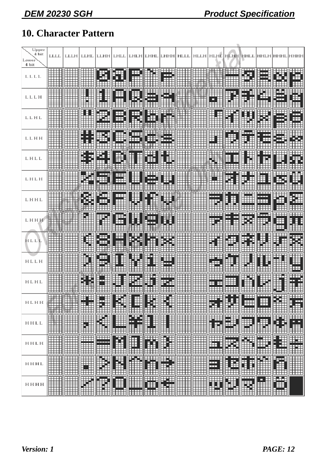### **10. Character Pattern**

| Upper<br>4 bit<br>Lower<br>4 bit        | <b>LLLL</b> |                       | LLLH LLHL   | <b>LLHH</b>    | LHLL               |                           | LHLH LHHL           | LHHH            | <b>HLLL</b>                                                                                               |                                               | <b>HLLH HLHE</b>                                   | <b>HLHH</b>                   | HHLL                                                |                                                                                                                       |                    |                |
|-----------------------------------------|-------------|-----------------------|-------------|----------------|--------------------|---------------------------|---------------------|-----------------|-----------------------------------------------------------------------------------------------------------|-----------------------------------------------|----------------------------------------------------|-------------------------------|-----------------------------------------------------|-----------------------------------------------------------------------------------------------------------------------|--------------------|----------------|
| LLLL                                    |             |                       |             |                |                    |                           |                     |                 |                                                                                                           |                                               |                                                    |                               |                                                     |                                                                                                                       | 由                  |                |
| LLLH                                    |             |                       |             |                |                    |                           |                     |                 |                                                                                                           |                                               |                                                    |                               |                                                     |                                                                                                                       | æ.                 |                |
| LLHL                                    |             |                       |             |                |                    |                           |                     |                 |                                                                                                           |                                               |                                                    |                               |                                                     |                                                                                                                       | <b>THE</b>         |                |
| LLHH                                    |             |                       |             |                |                    |                           |                     |                 |                                                                                                           |                                               |                                                    |                               |                                                     | ⊞                                                                                                                     | ச                  |                |
| LHLL                                    |             |                       |             |                |                    |                           |                     |                 |                                                                                                           |                                               |                                                    |                               |                                                     |                                                                                                                       |                    |                |
| LHLH                                    |             |                       |             |                | <b>HH</b>          |                           |                     |                 |                                                                                                           |                                               |                                                    |                               |                                                     |                                                                                                                       |                    |                |
| LHHL                                    |             |                       |             |                |                    |                           |                     |                 |                                                                                                           |                                               |                                                    |                               |                                                     |                                                                                                                       | ⊞                  |                |
| ГННН                                    |             |                       |             |                |                    |                           |                     |                 |                                                                                                           |                                               |                                                    |                               |                                                     |                                                                                                                       |                    |                |
| HLLL                                    |             |                       |             |                |                    |                           |                     |                 |                                                                                                           |                                               |                                                    |                               |                                                     |                                                                                                                       |                    |                |
| HLLH                                    |             |                       |             |                |                    |                           |                     |                 |                                                                                                           |                                               |                                                    |                               |                                                     |                                                                                                                       |                    |                |
| HLHL                                    |             |                       |             |                |                    |                           |                     |                 |                                                                                                           |                                               |                                                    |                               |                                                     |                                                                                                                       |                    |                |
| HLHH                                    |             | E E                   | ini<br>Suit | Filipin        | <b>The Cooking</b> | <b>Tangling</b>           | <b>The Contract</b> | Filip<br>⊞      | <b>The Cookie Cookie Cookie</b>                                                                           | E                                             | ⊞⊞<br>₩.                                           | <b>The Company</b>            | Ш<br><u>Hill</u>                                    | سسه<br>Ħ<br><b>HHH</b>                                                                                                | <b>Thursday</b>    | W.             |
| ${\rm H}\, {\rm H}\, {\rm L}\, {\rm L}$ |             |                       | <b>THE</b>  | E              | <b>Fillip</b>      | <b>Fill</b>               | <b>Form</b>         | <b>THE REAL</b> | <b>The Cooking</b>                                                                                        | <b>THE SEARCH SEARCH IN THE SEARCH SEARCH</b> | <del>u 111 11</del><br><b>FILE</b><br><u>Exter</u> | <b>HEA</b>                    | $\overline{\text{min}}$<br><b>The Second Second</b> | <del>an 11</del><br>E                                                                                                 | <b>Filling</b>     | E              |
| HHLH                                    |             | <b>The Controller</b> |             | <b>Fillips</b> | <b>Fillips</b>     | <b>Tarihi</b><br>Billia   | <b>Till</b>         | E               | <b>The Contract of Contract of The Contract of The Contract of The Contract of The Contract of The Co</b> | <b>THE SEARCH SEARCH</b>                      | <b>WEBSTER</b>                                     | سسا<br>Ø                      | W                                                   | <b>THE</b>                                                                                                            | <b>THE SECTION</b> | <b>ANGELIA</b> |
| HHHL                                    |             | <b>Construction</b>   | W           | E              | <b>Fillips</b>     | <b>HE</b><br>┯┯┯┯┯        | <b>THE SET OF</b>   | E               | H<br>┯┯┯┯┯                                                                                                | E                                             | W                                                  | <b>THE</b>                    | Ī                                                   | <b>The Contract of The Contract of The Contract of The Contract of The Contract of The Contract of The Contract o</b> | T                  |                |
| нннн                                    |             |                       | W           | E              | 9<br><b>Fall</b>   | <b>HILL</b><br><b>HHH</b> | <b>THE</b>          | Filip           |                                                                                                           | <b>THE CONFIDENT</b>                          | <b>The Contract</b>                                | <b>The Contract of Second</b> | $\overline{1}$<br><b>WE</b>                         | E                                                                                                                     | <b>William</b>     |                |